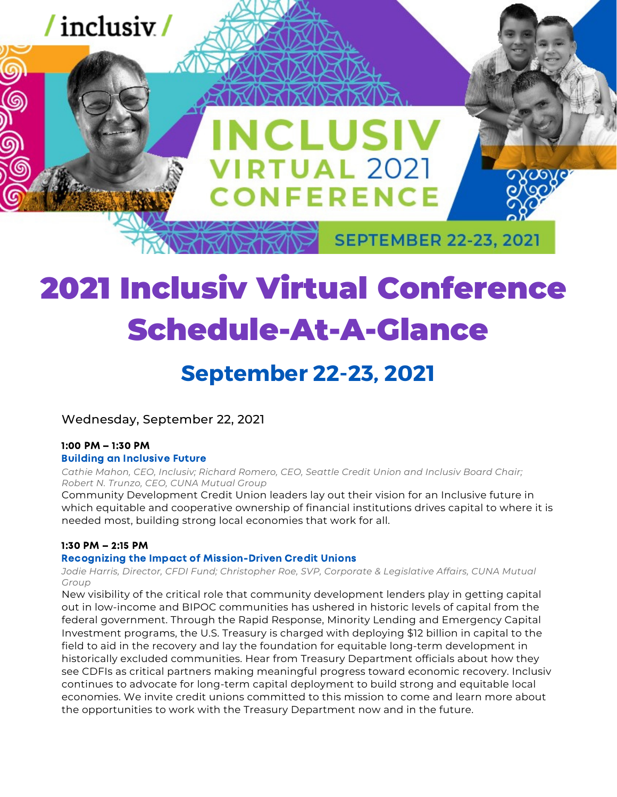

# 2021 Inclusiv Virtual Conference Schedule-At-A-Glance

## **September 22-23, 2021**

Wednesday, September 22, 2021

### 1:00 PM – 1:30 PM

### Building an Inclusive Future

*Cathie Mahon, CEO, Inclusiv; Richard Romero, CEO, Seattle Credit Union and Inclusiv Board Chair; Robert N. Trunzo, CEO, CUNA Mutual Group*

Community Development Credit Union leaders lay out their vision for an Inclusive future in which equitable and cooperative ownership of financial institutions drives capital to where it is needed most, building strong local economies that work for all.

### 1:30 PM – 2:15 PM

### Recognizing the Impact of Mission-Driven Credit Unions

*Jodie Harris, Director, CFDI Fund; Christopher Roe, SVP, Corporate & Legislative Affairs, CUNA Mutual Group*

New visibility of the critical role that community development lenders play in getting capital out in low-income and BIPOC communities has ushered in historic levels of capital from the federal government. Through the Rapid Response, Minority Lending and Emergency Capital Investment programs, the U.S. Treasury is charged with deploying \$12 billion in capital to the field to aid in the recovery and lay the foundation for equitable long-term development in historically excluded communities. Hear from Treasury Department officials about how they see CDFIs as critical partners making meaningful progress toward economic recovery. Inclusiv continues to advocate for long-term capital deployment to build strong and equitable local economies. We invite credit unions committed to this mission to come and learn more about the opportunities to work with the Treasury Department now and in the future.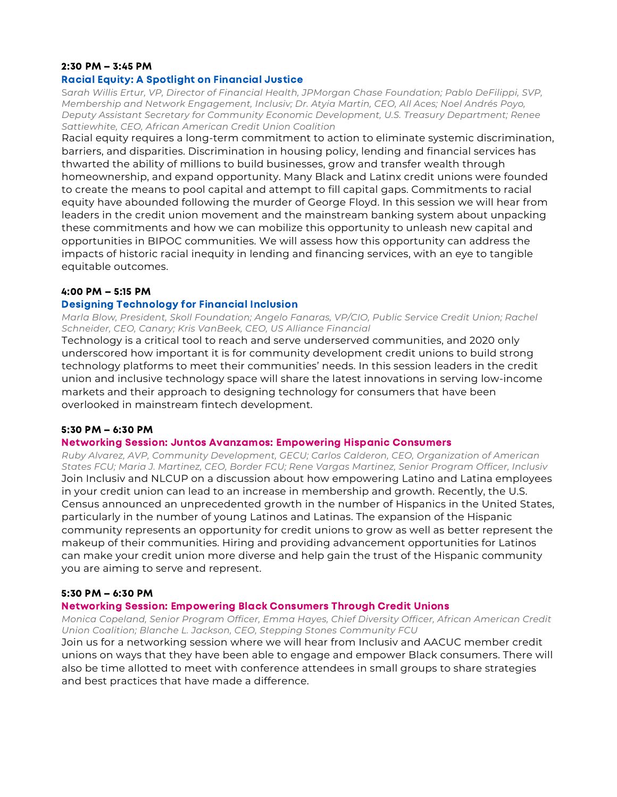### 2:30 PM – 3:45 PM

### Racial Equity: A Spotlight on Financial Justice

S*arah Willis Ertur, VP, Director of Financial Health, JPMorgan Chase Foundation; Pablo DeFilippi, SVP, Membership and Network Engagement, Inclusiv; Dr. Atyia Martin, CEO, All Aces; Noel Andrés Poyo, Deputy Assistant Secretary for Community Economic Development, U.S. Treasury Department; Renee Sattiewhite, CEO, African American Credit Union Coalition*

Racial equity requires a long-term commitment to action to eliminate systemic discrimination, barriers, and disparities. Discrimination in housing policy, lending and financial services has thwarted the ability of millions to build businesses, grow and transfer wealth through homeownership, and expand opportunity. Many Black and Latinx credit unions were founded to create the means to pool capital and attempt to fill capital gaps. Commitments to racial equity have abounded following the murder of George Floyd. In this session we will hear from leaders in the credit union movement and the mainstream banking system about unpacking these commitments and how we can mobilize this opportunity to unleash new capital and opportunities in BIPOC communities. We will assess how this opportunity can address the impacts of historic racial inequity in lending and financing services, with an eye to tangible equitable outcomes.

### 4:00 PM – 5:15 PM

### Designing Technology for Financial Inclusion

*Marla Blow, President, Skoll Foundation; Angelo Fanaras, VP/CIO, Public Service Credit Union; Rachel Schneider, CEO, Canary; Kris VanBeek, CEO, US Alliance Financial*

Technology is a critical tool to reach and serve underserved communities, and 2020 only underscored how important it is for community development credit unions to build strong technology platforms to meet their communities' needs. In this session leaders in the credit union and inclusive technology space will share the latest innovations in serving low-income markets and their approach to designing technology for consumers that have been overlooked in mainstream fintech development.

### 5:30 PM – 6:30 PM

### Networking Session: Juntos Avanzamos: Empowering Hispanic Consumers

*Ruby Alvarez, AVP, Community Development, GECU; Carlos Calderon, CEO, Organization of American States FCU; Maria J. Martinez, CEO, Border FCU; Rene Vargas Martinez, Senior Program Officer, Inclusiv* Join Inclusiv and NLCUP on a discussion about how empowering Latino and Latina employees in your credit union can lead to an increase in membership and growth. Recently, the U.S. Census announced an unprecedented growth in the number of Hispanics in the United States, particularly in the number of young Latinos and Latinas. The expansion of the Hispanic community represents an opportunity for credit unions to grow as well as better represent the makeup of their communities. Hiring and providing advancement opportunities for Latinos can make your credit union more diverse and help gain the trust of the Hispanic community you are aiming to serve and represent.

### 5:30 PM – 6:30 PM

### Networking Session: Empowering Black Consumers Through Credit Unions

*Monica Copeland, Senior Program Officer, Emma Hayes, Chief Diversity Officer, African American Credit Union Coalition; Blanche L. Jackson, CEO, Stepping Stones Community FCU*

Join us for a networking session where we will hear from Inclusiv and AACUC member credit unions on ways that they have been able to engage and empower Black consumers. There will also be time allotted to meet with conference attendees in small groups to share strategies and best practices that have made a difference.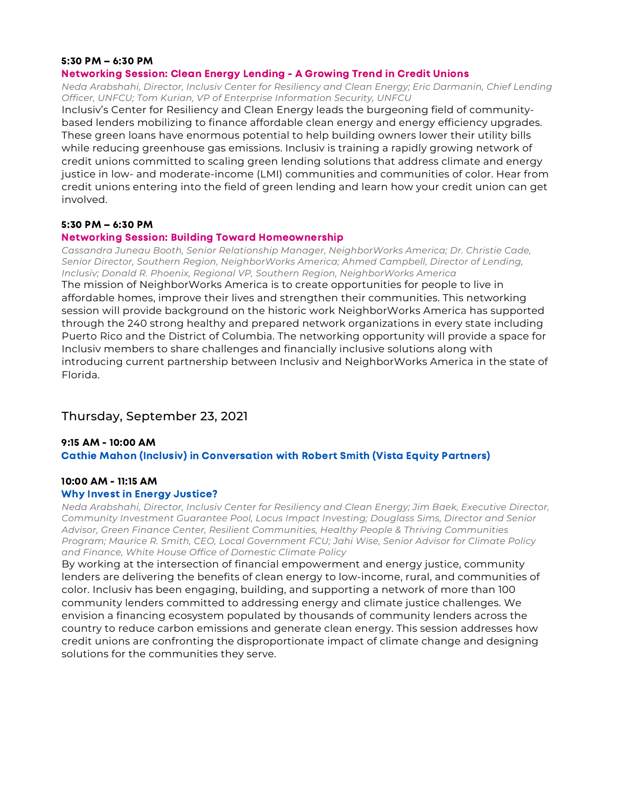### 5:30 PM – 6:30 PM

### Networking Session: Clean Energy Lending - A Growing Trend in Credit Unions

*Neda Arabshahi, Director, Inclusiv Center for Resiliency and Clean Energy; Eric Darmanin, Chief Lending Officer, UNFCU; Tom Kurian, VP of Enterprise Information Security, UNFCU*

Inclusiv's Center for Resiliency and Clean Energy leads the burgeoning field of communitybased lenders mobilizing to finance affordable clean energy and energy efficiency upgrades. These green loans have enormous potential to help building owners lower their utility bills while reducing greenhouse gas emissions. Inclusiv is training a rapidly growing network of credit unions committed to scaling green lending solutions that address climate and energy justice in low- and moderate-income (LMI) communities and communities of color. Hear from credit unions entering into the field of green lending and learn how your credit union can get involved.

### 5:30 PM – 6:30 PM

### Networking Session: Building Toward Homeownership

*Cassandra Juneau Booth, Senior Relationship Manager, NeighborWorks America; Dr. Christie Cade, Senior Director, Southern Region, NeighborWorks America; Ahmed Campbell, Director of Lending, Inclusiv; Donald R. Phoenix, Regional VP, Southern Region, NeighborWorks America*

The mission of NeighborWorks America is to create opportunities for people to live in affordable homes, improve their lives and strengthen their communities. This networking session will provide background on the historic work NeighborWorks America has supported through the 240 strong healthy and prepared network organizations in every state including Puerto Rico and the District of Columbia. The networking opportunity will provide a space for Inclusiv members to share challenges and financially inclusive solutions along with introducing current partnership between Inclusiv and NeighborWorks America in the state of Florida.

### Thursday, September 23, 2021

### 9:15 AM - 10:00 AM Cathie Mahon (Inclusiv) in Conversation with Robert Smith (Vista Equity Partners)

### 10:00 AM - 11:15 AM

### Why Invest in Energy Justice?

*Neda Arabshahi, Director, Inclusiv Center for Resiliency and Clean Energy; Jim Baek, Executive Director, Community Investment Guarantee Pool, Locus Impact Investing; Douglass Sims, Director and Senior Advisor, Green Finance Center, Resilient Communities, Healthy People & Thriving Communities Program; Maurice R. Smith, CEO, Local Government FCU; Jahi Wise, Senior Advisor for Climate Policy and Finance, White House Office of Domestic Climate Policy*

By working at the intersection of financial empowerment and energy justice, community lenders are delivering the benefits of clean energy to low-income, rural, and communities of color. Inclusiv has been engaging, building, and supporting a network of more than 100 community lenders committed to addressing energy and climate justice challenges. We envision a financing ecosystem populated by thousands of community lenders across the country to reduce carbon emissions and generate clean energy. This session addresses how credit unions are confronting the disproportionate impact of climate change and designing solutions for the communities they serve.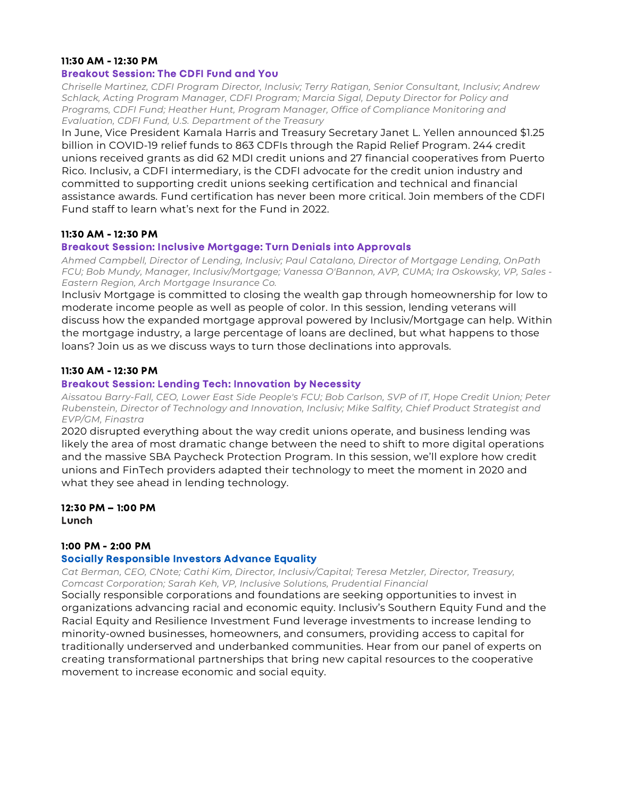### 11:30 AM - 12:30 PM

### Breakout Session: The CDFI Fund and You

*Chriselle Martinez, CDFI Program Director, Inclusiv; Terry Ratigan, Senior Consultant, Inclusiv; Andrew Schlack, Acting Program Manager, CDFI Program; Marcia Sigal, Deputy Director for Policy and Programs, CDFI Fund; Heather Hunt, Program Manager, Office of Compliance Monitoring and Evaluation, CDFI Fund, U.S. Department of the Treasury*

In June, Vice President Kamala Harris and Treasury Secretary Janet L. Yellen announced \$1.25 billion in COVID-19 relief funds to 863 CDFIs through the Rapid Relief Program. 244 credit unions received grants as did 62 MDI credit unions and 27 financial cooperatives from Puerto Rico. Inclusiv, a CDFI intermediary, is the CDFI advocate for the credit union industry and committed to supporting credit unions seeking certification and technical and financial assistance awards. Fund certification has never been more critical. Join members of the CDFI Fund staff to learn what's next for the Fund in 2022.

### 11:30 AM - 12:30 PM

### Breakout Session: Inclusive Mortgage: Turn Denials into Approvals

*Ahmed Campbell, Director of Lending, Inclusiv; Paul Catalano, Director of Mortgage Lending, OnPath FCU; Bob Mundy, Manager, Inclusiv/Mortgage; Vanessa O'Bannon, AVP, CUMA; Ira Oskowsky, VP, Sales - Eastern Region, Arch Mortgage Insurance Co.*

Inclusiv Mortgage is committed to closing the wealth gap through homeownership for low to moderate income people as well as people of color. In this session, lending veterans will discuss how the expanded mortgage approval powered by Inclusiv/Mortgage can help. Within the mortgage industry, a large percentage of loans are declined, but what happens to those loans? Join us as we discuss ways to turn those declinations into approvals.

### 11:30 AM - 12:30 PM

### Breakout Session: Lending Tech: Innovation by Necessity

*Aissatou Barry-Fall, CEO, Lower East Side People's FCU; Bob Carlson, SVP of IT, Hope Credit Union; Peter Rubenstein, Director of Technology and Innovation, Inclusiv; Mike Salfity, Chief Product Strategist and EVP/GM, Finastra*

2020 disrupted everything about the way credit unions operate, and business lending was likely the area of most dramatic change between the need to shift to more digital operations and the massive SBA Paycheck Protection Program. In this session, we'll explore how credit unions and FinTech providers adapted their technology to meet the moment in 2020 and what they see ahead in lending technology.

12:30 PM – 1:00 PM Lunch

### 1:00 PM - 2:00 PM

### Socially Responsible Investors Advance Equality

*Cat Berman, CEO, CNote; Cathi Kim, Director, Inclusiv/Capital; Teresa Metzler, Director, Treasury, Comcast Corporation; Sarah Keh, VP, Inclusive Solutions, Prudential Financial*

Socially responsible corporations and foundations are seeking opportunities to invest in organizations advancing racial and economic equity. Inclusiv's Southern Equity Fund and the Racial Equity and Resilience Investment Fund leverage investments to increase lending to minority-owned businesses, homeowners, and consumers, providing access to capital for traditionally underserved and underbanked communities. Hear from our panel of experts on creating transformational partnerships that bring new capital resources to the cooperative movement to increase economic and social equity.